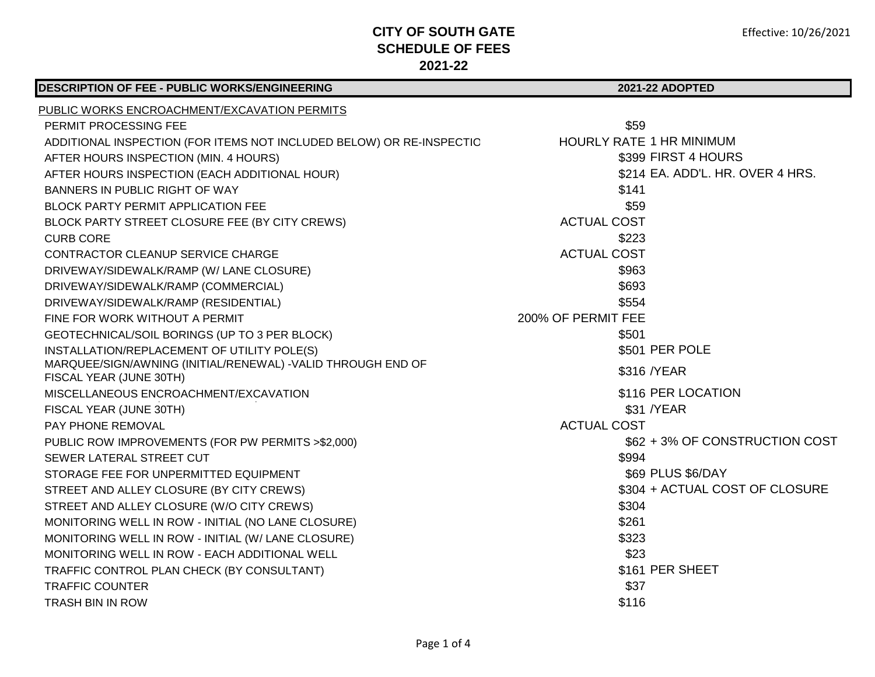| <b>DESCRIPTION OF FEE - PUBLIC WORKS/ENGINEERING</b>                          | 2021-22 ADOPTED                  |
|-------------------------------------------------------------------------------|----------------------------------|
| PUBLIC WORKS ENCROACHMENT/EXCAVATION PERMITS                                  |                                  |
| PERMIT PROCESSING FEE                                                         | \$59                             |
| ADDITIONAL INSPECTION (FOR ITEMS NOT INCLUDED BELOW) OR RE-INSPECTIO          | <b>HOURLY RATE 1 HR MINIMUM</b>  |
| AFTER HOURS INSPECTION (MIN. 4 HOURS)                                         | \$399 FIRST 4 HOURS              |
| AFTER HOURS INSPECTION (EACH ADDITIONAL HOUR)                                 | \$214 EA. ADD'L. HR. OVER 4 HRS. |
| BANNERS IN PUBLIC RIGHT OF WAY                                                | \$141                            |
| <b>BLOCK PARTY PERMIT APPLICATION FEE</b>                                     | \$59                             |
| BLOCK PARTY STREET CLOSURE FEE (BY CITY CREWS)                                | <b>ACTUAL COST</b>               |
| <b>CURB CORE</b>                                                              | \$223                            |
| CONTRACTOR CLEANUP SERVICE CHARGE                                             | <b>ACTUAL COST</b>               |
| DRIVEWAY/SIDEWALK/RAMP (W/ LANE CLOSURE)                                      | \$963                            |
| DRIVEWAY/SIDEWALK/RAMP (COMMERCIAL)                                           | \$693                            |
| DRIVEWAY/SIDEWALK/RAMP (RESIDENTIAL)                                          | \$554                            |
| FINE FOR WORK WITHOUT A PERMIT                                                | 200% OF PERMIT FEE               |
| GEOTECHNICAL/SOIL BORINGS (UP TO 3 PER BLOCK)                                 | \$501                            |
| INSTALLATION/REPLACEMENT OF UTILITY POLE(S)                                   | \$501 PER POLE                   |
| MARQUEE/SIGN/AWNING (INITIAL/RENEWAL) - VALID THROUGH END OF                  | \$316 / YEAR                     |
| FISCAL YEAR (JUNE 30TH)                                                       |                                  |
| MISCELLANEOUS ENCROACHMENT/EXCAVATION                                         | \$116 PER LOCATION<br>\$31 /YEAR |
| FISCAL YEAR (JUNE 30TH)                                                       | <b>ACTUAL COST</b>               |
| <b>PAY PHONE REMOVAL</b>                                                      | \$62 + 3% OF CONSTRUCTION COST   |
| PUBLIC ROW IMPROVEMENTS (FOR PW PERMITS >\$2,000)<br>SEWER LATERAL STREET CUT | \$994                            |
| STORAGE FEE FOR UNPERMITTED EQUIPMENT                                         | \$69 PLUS \$6/DAY                |
| STREET AND ALLEY CLOSURE (BY CITY CREWS)                                      | \$304 + ACTUAL COST OF CLOSURE   |
| STREET AND ALLEY CLOSURE (W/O CITY CREWS)                                     | \$304                            |
| MONITORING WELL IN ROW - INITIAL (NO LANE CLOSURE)                            | \$261                            |
| MONITORING WELL IN ROW - INITIAL (W/ LANE CLOSURE)                            | \$323                            |
| MONITORING WELL IN ROW - EACH ADDITIONAL WELL                                 | \$23                             |
| TRAFFIC CONTROL PLAN CHECK (BY CONSULTANT)                                    | \$161 PER SHEET                  |
| <b>TRAFFIC COUNTER</b>                                                        | \$37                             |
| <b>TRASH BIN IN ROW</b>                                                       | \$116                            |
|                                                                               |                                  |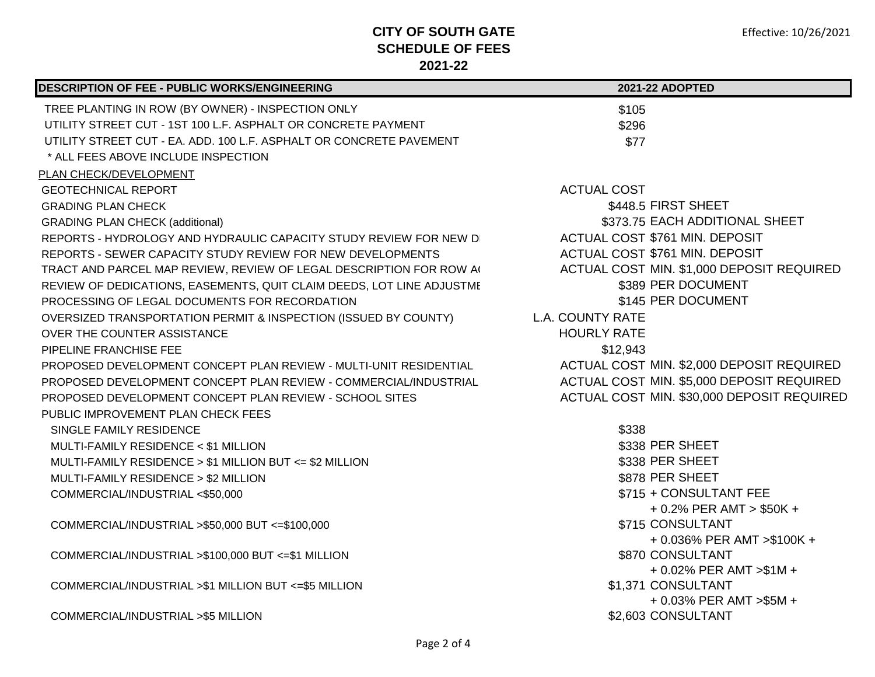| <b>DESCRIPTION OF FEE - PUBLIC WORKS/ENGINEERING</b>                  | 2021-22 ADOPTED                                |
|-----------------------------------------------------------------------|------------------------------------------------|
| TREE PLANTING IN ROW (BY OWNER) - INSPECTION ONLY                     | \$105                                          |
| UTILITY STREET CUT - 1ST 100 L.F. ASPHALT OR CONCRETE PAYMENT         | \$296                                          |
| UTILITY STREET CUT - EA. ADD. 100 L.F. ASPHALT OR CONCRETE PAVEMENT   | \$77                                           |
| * ALL FEES ABOVE INCLUDE INSPECTION                                   |                                                |
| PLAN CHECK/DEVELOPMENT                                                |                                                |
| <b>GEOTECHNICAL REPORT</b>                                            | <b>ACTUAL COST</b>                             |
| <b>GRADING PLAN CHECK</b>                                             | \$448.5 FIRST SHEET                            |
| <b>GRADING PLAN CHECK (additional)</b>                                | \$373.75 EACH ADDITIONAL SHEET                 |
| REPORTS - HYDROLOGY AND HYDRAULIC CAPACITY STUDY REVIEW FOR NEW DI    | ACTUAL COST \$761 MIN. DEPOSIT                 |
| REPORTS - SEWER CAPACITY STUDY REVIEW FOR NEW DEVELOPMENTS            | ACTUAL COST \$761 MIN. DEPOSIT                 |
| TRACT AND PARCEL MAP REVIEW, REVIEW OF LEGAL DESCRIPTION FOR ROW A(   | ACTUAL COST MIN. \$1,000 DEPOSIT REQUIRED      |
| REVIEW OF DEDICATIONS, EASEMENTS, QUIT CLAIM DEEDS, LOT LINE ADJUSTME | \$389 PER DOCUMENT                             |
| PROCESSING OF LEGAL DOCUMENTS FOR RECORDATION                         | \$145 PER DOCUMENT                             |
| OVERSIZED TRANSPORTATION PERMIT & INSPECTION (ISSUED BY COUNTY)       | <b>L.A. COUNTY RATE</b>                        |
| OVER THE COUNTER ASSISTANCE                                           | <b>HOURLY RATE</b>                             |
| PIPELINE FRANCHISE FEE                                                | \$12,943                                       |
| PROPOSED DEVELOPMENT CONCEPT PLAN REVIEW - MULTI-UNIT RESIDENTIAL     | ACTUAL COST MIN. \$2,000 DEPOSIT REQUIRED      |
| PROPOSED DEVELOPMENT CONCEPT PLAN REVIEW - COMMERCIAL/INDUSTRIAL      | ACTUAL COST MIN. \$5,000 DEPOSIT REQUIRED      |
| PROPOSED DEVELOPMENT CONCEPT PLAN REVIEW - SCHOOL SITES               | ACTUAL COST MIN. \$30,000 DEPOSIT REQUIRED     |
| PUBLIC IMPROVEMENT PLAN CHECK FEES                                    |                                                |
| SINGLE FAMILY RESIDENCE                                               | \$338                                          |
| MULTI-FAMILY RESIDENCE < \$1 MILLION                                  | \$338 PER SHEET                                |
| MULTI-FAMILY RESIDENCE > \$1 MILLION BUT <= \$2 MILLION               | \$338 PER SHEET                                |
| MULTI-FAMILY RESIDENCE > \$2 MILLION                                  | \$878 PER SHEET                                |
| COMMERCIAL/INDUSTRIAL <\$50,000                                       | \$715 + CONSULTANT FEE                         |
|                                                                       | $+0.2\%$ PER AMT > \$50K +                     |
| COMMERCIAL/INDUSTRIAL >\$50,000 BUT <= \$100,000                      | \$715 CONSULTANT                               |
|                                                                       | + 0.036% PER AMT > \$100K +                    |
| COMMERCIAL/INDUSTRIAL >\$100,000 BUT <= \$1 MILLION                   | \$870 CONSULTANT                               |
|                                                                       | $+0.02\%$ PER AMT $> $1M +$                    |
| COMMERCIAL/INDUSTRIAL >\$1 MILLION BUT <= \$5 MILLION                 | \$1,371 CONSULTANT                             |
| COMMERCIAL/INDUSTRIAL >\$5 MILLION                                    | + 0.03% PER AMT > \$5M +<br>\$2,603 CONSULTANT |
|                                                                       |                                                |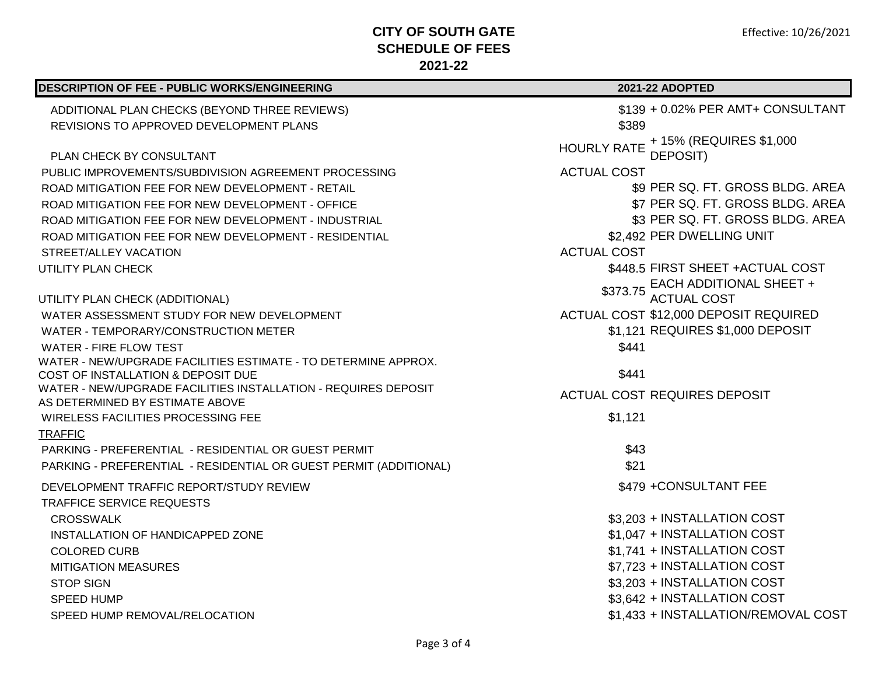| DESCRIPTION OF FEE - PUBLIC WORKS/ENGINEERING                                                        | 2021-22 ADOPTED                                           |
|------------------------------------------------------------------------------------------------------|-----------------------------------------------------------|
| ADDITIONAL PLAN CHECKS (BEYOND THREE REVIEWS)                                                        | \$139 + 0.02% PER AMT+ CONSULTANT                         |
| REVISIONS TO APPROVED DEVELOPMENT PLANS                                                              | \$389                                                     |
| <b>PLAN CHECK BY CONSULTANT</b>                                                                      | + 15% (REQUIRES \$1,000<br><b>HOURLY RATE</b><br>DEPOSIT) |
| PUBLIC IMPROVEMENTS/SUBDIVISION AGREEMENT PROCESSING                                                 | <b>ACTUAL COST</b>                                        |
| ROAD MITIGATION FEE FOR NEW DEVELOPMENT - RETAIL                                                     | \$9 PER SQ. FT. GROSS BLDG. AREA                          |
| ROAD MITIGATION FEE FOR NEW DEVELOPMENT - OFFICE                                                     | \$7 PER SQ. FT. GROSS BLDG. AREA                          |
| ROAD MITIGATION FEE FOR NEW DEVELOPMENT - INDUSTRIAL                                                 | \$3 PER SQ. FT. GROSS BLDG. AREA                          |
| ROAD MITIGATION FEE FOR NEW DEVELOPMENT - RESIDENTIAL                                                | \$2,492 PER DWELLING UNIT                                 |
| STREET/ALLEY VACATION                                                                                | <b>ACTUAL COST</b>                                        |
| UTILITY PLAN CHECK                                                                                   | \$448.5 FIRST SHEET + ACTUAL COST                         |
|                                                                                                      | \$373.75 EACH ADDITIONAL SHEET +                          |
| UTILITY PLAN CHECK (ADDITIONAL)                                                                      | <b>ACTUAL COST</b>                                        |
| WATER ASSESSMENT STUDY FOR NEW DEVELOPMENT                                                           | ACTUAL COST \$12,000 DEPOSIT REQUIRED                     |
| WATER - TEMPORARY/CONSTRUCTION METER                                                                 | \$1,121 REQUIRES \$1,000 DEPOSIT                          |
| WATER - FIRE FLOW TEST                                                                               | \$441                                                     |
| WATER - NEW/UPGRADE FACILITIES ESTIMATE - TO DETERMINE APPROX.                                       |                                                           |
| COST OF INSTALLATION & DEPOSIT DUE<br>WATER - NEW/UPGRADE FACILITIES INSTALLATION - REQUIRES DEPOSIT | \$441                                                     |
| AS DETERMINED BY ESTIMATE ABOVE                                                                      | <b>ACTUAL COST REQUIRES DEPOSIT</b>                       |
| WIRELESS FACILITIES PROCESSING FEE                                                                   | \$1,121                                                   |
| <b>TRAFFIC</b>                                                                                       |                                                           |
| PARKING - PREFERENTIAL - RESIDENTIAL OR GUEST PERMIT                                                 | \$43                                                      |
| PARKING - PREFERENTIAL - RESIDENTIAL OR GUEST PERMIT (ADDITIONAL)                                    | \$21                                                      |
| DEVELOPMENT TRAFFIC REPORT/STUDY REVIEW                                                              | \$479 + CONSULTANT FEE                                    |
| <b>TRAFFICE SERVICE REQUESTS</b>                                                                     |                                                           |
| <b>CROSSWALK</b>                                                                                     | \$3,203 + INSTALLATION COST                               |
| INSTALLATION OF HANDICAPPED ZONE                                                                     | \$1,047 + INSTALLATION COST                               |
| <b>COLORED CURB</b>                                                                                  | \$1,741 + INSTALLATION COST                               |
| <b>MITIGATION MEASURES</b>                                                                           | \$7,723 + INSTALLATION COST                               |
| <b>STOP SIGN</b>                                                                                     | \$3,203 + INSTALLATION COST                               |
| <b>SPEED HUMP</b>                                                                                    | \$3,642 + INSTALLATION COST                               |
| SPEED HUMP REMOVAL/RELOCATION                                                                        | \$1,433 + INSTALLATION/REMOVAL COST                       |